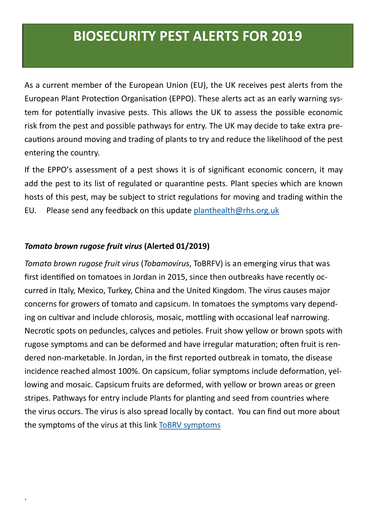As a current member of the European Union (EU), the UK receives pest alerts from the European Plant Protection Organisation (EPPO). These alerts act as an early warning system for potentially invasive pests. This allows the UK to assess the possible economic risk from the pest and possible pathways for entry. The UK may decide to take extra precautions around moving and trading of plants to try and reduce the likelihood of the pest entering the country.

If the EPPO's assessment of a pest shows it is of significant economic concern, it may add the pest to its list of regulated or quarantine pests. Plant species which are known hosts of this pest, may be subject to strict regulations for moving and trading within the EU. Please send any feedback on this update [planthealth@rhs.org.uk](mailto:planthealth@rhs.org.uk)

### *Tomato brown rugose fruit virus* **(Alerted 01/2019)**

.

*Tomato brown rugose fruit virus* (*Tobamovirus*, ToBRFV) is an emerging virus that was first identified on tomatoes in Jordan in 2015, since then outbreaks have recently occurred in Italy, Mexico, Turkey, China and the United Kingdom. The virus causes major concerns for growers of tomato and capsicum. In tomatoes the symptoms vary depending on cultivar and include chlorosis, mosaic, mottling with occasional leaf narrowing. Necrotic spots on peduncles, calyces and petioles. Fruit show yellow or brown spots with rugose symptoms and can be deformed and have irregular maturation; often fruit is rendered non-marketable. In Jordan, in the first reported outbreak in tomato, the disease incidence reached almost 100%. On capsicum, foliar symptoms include deformation, yellowing and mosaic. Capsicum fruits are deformed, with yellow or brown areas or green stripes. Pathways for entry include Plants for planting and seed from countries where the virus occurs. The virus is also spread locally by contact. You can find out more about the symptoms of the virus at this link [ToBRV symptoms](http://www.cesaveson.com/files/docs/eventos/Seminario%20Tomato/AntecedentesTomato.pdf)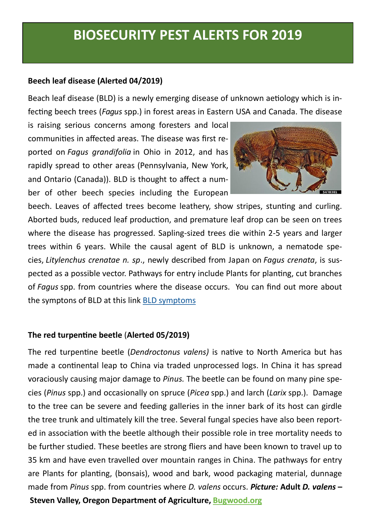### **Beech leaf disease (Alerted 04/2019)**

Beach leaf disease (BLD) is a newly emerging disease of unknown aetiology which is infecting beech trees (*Fagus* spp.) in forest areas in Eastern USA and Canada. The disease

is raising serious concerns among foresters and local communities in affected areas. The disease was first reported on *Fagus grandifolia* in Ohio in 2012, and has rapidly spread to other areas (Pennsylvania, New York, and Ontario (Canada)). BLD is thought to affect a number of other beech species including the European



beech. Leaves of affected trees become leathery, show stripes, stunting and curling. Aborted buds, reduced leaf production, and premature leaf drop can be seen on trees where the disease has progressed. Sapling-sized trees die within 2-5 years and larger trees within 6 years. While the causal agent of BLD is unknown, a nematode species, *Litylenchus crenatae n. sp*., newly described from Japan on *Fagus crenata*, is suspected as a possible vector. Pathways for entry include Plants for planting, cut branches of *Fagus* spp. from countries where the disease occurs. You can find out more about the symptons of BLD at this link [BLD symptoms](https://brill.com/view/journals/nemy/21/1/15685411_021_01_s002_i0013.jpg)

#### **The red turpentine beetle** (**Alerted 05/2019)**

The red turpentine beetle (*Dendroctonus valens)* is native to North America but has made a continental leap to China via traded unprocessed logs. In China it has spread voraciously causing major damage to *Pinus.* The beetle can be found on many pine species (*Pinus* spp.) and occasionally on spruce (*Picea* spp.) and larch (*Larix* spp.). Damage to the tree can be severe and feeding galleries in the inner bark of its host can girdle the tree trunk and ultimately kill the tree. Several fungal species have also been reported in association with the beetle although their possible role in tree mortality needs to be further studied. These beetles are strong fliers and have been known to travel up to 35 km and have even travelled over mountain ranges in China. The pathways for entry are Plants for planting, (bonsais), wood and bark, wood packaging material, dunnage made from *Pinus* spp. from countries where *D. valens* occurs. *Picture:* **Adult** *D. valens* **– Steven Valley, Oregon Department of Agriculture, [Bugwood.org](https://www.forestryimages.org/browse/subthumb.cfm?sub=33)**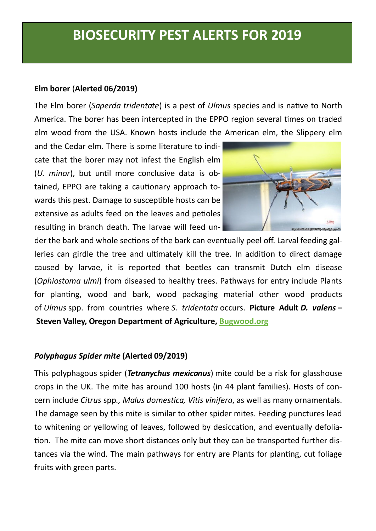#### **Elm borer** (**Alerted 06/2019)**

The Elm borer (*Saperda tridentate*) is a pest of *Ulmus* species and is native to North America. The borer has been intercepted in the EPPO region several times on traded elm wood from the USA. Known hosts include the American elm, the Slippery elm

and the Cedar elm. There is some literature to indicate that the borer may not infest the English elm (*U. minor*), but until more conclusive data is obtained, EPPO are taking a cautionary approach towards this pest. Damage to susceptible hosts can be extensive as adults feed on the leaves and petioles resulting in branch death. The larvae will feed un-



der the bark and whole sections of the bark can eventually peel off. Larval feeding galleries can girdle the tree and ultimately kill the tree. In addition to direct damage caused by larvae, it is reported that beetles can transmit Dutch elm disease (*Ophiostoma ulmi*) from diseased to healthy trees. Pathways for entry include Plants for planting, wood and bark, wood packaging material other wood products of *Ulmus* spp. from countries where *S. tridentata* occurs. **Picture Adult** *D. valens* **– Steven Valley, Oregon Department of Agriculture, [Bugwood.org](https://www.forestryimages.org/browse/subthumb.cfm?sub=33)**

#### *Polyphagus Spider mite* **(Alerted 09/2019)**

This polyphagous spider (*Tetranychus mexicanus*) mite could be a risk for glasshouse crops in the UK. The mite has around 100 hosts (in 44 plant families). Hosts of concern include *Citrus* spp*., Malus domestica, Vitis vinifera*, as well as many ornamentals. The damage seen by this mite is similar to other spider mites. Feeding punctures lead to whitening or yellowing of leaves, followed by desiccation, and eventually defoliation. The mite can move short distances only but they can be transported further distances via the wind. The main pathways for entry are Plants for planting, cut foliage fruits with green parts.